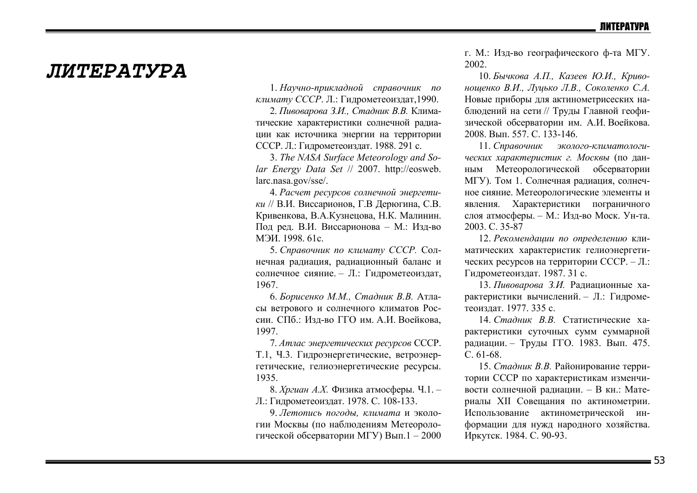## *JIMTEPATYPA*

1. Научно-прикладной справочник по климату СССР. Л.: Гидрометеоиздат, 1990.

2. Пивоварова З.И., Стадник В.В. Климатические характеристики солнечной радиации как источника энергии на территории СССР. Л.: Гидрометеоиздат. 1988. 291 с.

3. The NASA Surface Meteorology and Solar Energy Data Set // 2007. http://eosweb. larc.nasa.gov/sse/.

4. Расчет ресурсов солнечной энергетики // В.И. Виссарионов, Г.В Дерюгина, С.В. Кривенкова, В.А.Кузнецова, Н.К. Малинин. Под ред. В.И. Виссарионова - М.: Изд-во МЭИ. 1998. 61c

5. Справочник по климату СССР. Солнечная радиация, радиационный баланс и солнечное сияние. - Л.: Гидрометеоиздат, 1967

6. Борисенко М.М., Стадник В.В. Атласы ветрового и солнечного климатов России. СПб.: Изд-во ГГО им. А.И. Воейкова, 1997

7. Атлас энергетических ресурсов СССР. Т.1, Ч.3. Гидроэнергетические, ветроэнергетические, гелиоэнергетические ресурсы. 1935.

8. Хргиан А.Х. Физика атмосферы. Ч.1. -Л.: Гидрометеоиздат. 1978. С. 108-133.

9. Летопись погоды, климата и экологии Москвы (по наблюдениям Метеорологической обсерватории МГУ) Вып.1 - 2000 г. М.: Изд-во географического ф-та МГУ. 2002.

10. Бычкова А.П., Казеев Ю.И., Кривоношенко В.И., Луцько Л.В., Соколенко С.А. Новые приборы для актинометрисеских наблюдений на сети // Труды Главной геофизической обсерватории им. А.И. Воейкова. 2008 Вып 557 С 133-146

11. Справочник эколого-климатологических характеристик г. Москвы (по дан-Метеорологической обсерватории НЫМ МГУ). Том 1. Солнечная радиация, солнечное сияние. Метеорологические элементы и явления. Характеристики пограничного слоя атмосферы. - М.: Изд-во Моск. Ун-та. 2003. C. 35-87

12. Рекомендации по определению климатических характеристик гелиоэнергетических ресурсов на территории СССР. - Л.: Гидрометеоиздат. 1987. 31 с.

13. Пивоварова З.И. Радиационные характеристики вычислений. - Л.: Гидрометеоиздат. 1977. 335 с.

14. Стадник В.В. Статистические характеристики суточных сумм суммарной радиации. - Труды ГГО. 1983. Вып. 475.  $C.61-68.$ 

15. Стадник В.В. Районирование территории СССР по характеристикам изменчивости солнечной радиации. - В кн.: Материалы XII Совещания по актинометрии. Использование актинометрической информации для нужд народного хозяйства. Иркутск. 1984. С. 90-93.